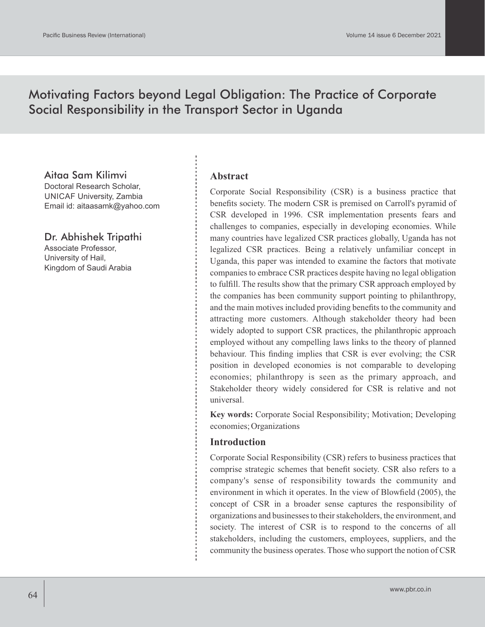# Motivating Factors beyond Legal Obligation: The Practice of Corporate Social Responsibility in the Transport Sector in Uganda

## Aitaa Sam Kilimvi

Doctoral Research Scholar, UNICAF University, Zambia Email id: aitaasamk@yahoo.com

# Dr. Abhishek Tripathi

Associate Professor, University of Hail, Kingdom of Saudi Arabia

#### **Abstract**

Corporate Social Responsibility (CSR) is a business practice that benefits society. The modern CSR is premised on Carroll's pyramid of CSR developed in 1996. CSR implementation presents fears and challenges to companies, especially in developing economies. While many countries have legalized CSR practices globally, Uganda has not legalized CSR practices. Being a relatively unfamiliar concept in Uganda, this paper was intended to examine the factors that motivate companies to embrace CSR practices despite having no legal obligation to fulfill. The results show that the primary CSR approach employed by the companies has been community support pointing to philanthropy, and the main motives included providing benefits to the community and attracting more customers. Although stakeholder theory had been widely adopted to support CSR practices, the philanthropic approach employed without any compelling laws links to the theory of planned behaviour. This finding implies that CSR is ever evolving; the CSR position in developed economies is not comparable to developing economies; philanthropy is seen as the primary approach, and Stakeholder theory widely considered for CSR is relative and not universal.

**Key words:** Corporate Social Responsibility; Motivation; Developing economies; Organizations

### **Introduction**

Corporate Social Responsibility (CSR) refers to business practices that comprise strategic schemes that benefit society. CSR also refers to a company's sense of responsibility towards the community and environment in which it operates. In the view of Blowfield (2005), the concept of CSR in a broader sense captures the responsibility of organizations and businesses to their stakeholders, the environment, and society. The interest of CSR is to respond to the concerns of all stakeholders, including the customers, employees, suppliers, and the community the business operates. Those who support the notion of CSR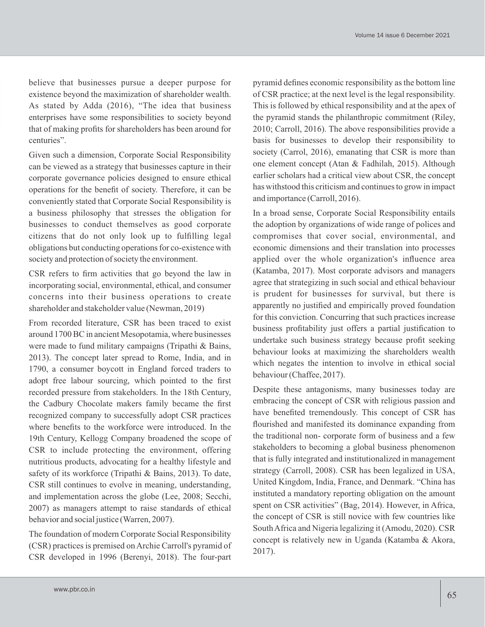believe that businesses pursue a deeper purpose for existence beyond the maximization of shareholder wealth. As stated by Adda (2016), "The idea that business enterprises have some responsibilities to society beyond that of making profits for shareholders has been around for centuries".

Given such a dimension, Corporate Social Responsibility can be viewed as a strategy that businesses capture in their corporate governance policies designed to ensure ethical operations for the benefit of society. Therefore, it can be conveniently stated that Corporate Social Responsibility is a business philosophy that stresses the obligation for businesses to conduct themselves as good corporate citizens that do not only look up to fulfilling legal obligations but conducting operations for co-existence with society and protection of society the environment.

CSR refers to firm activities that go beyond the law in incorporating social, environmental, ethical, and consumer concerns into their business operations to create shareholder and stakeholder value (Newman, 2019)

From recorded literature, CSR has been traced to exist around 1700 BC in ancient Mesopotamia, where businesses were made to fund military campaigns (Tripathi & Bains, 2013). The concept later spread to Rome, India, and in 1790, a consumer boycott in England forced traders to adopt free labour sourcing, which pointed to the first recorded pressure from stakeholders. In the 18th Century, the Cadbury Chocolate makers family became the first recognized company to successfully adopt CSR practices where benefits to the workforce were introduced. In the 19th Century, Kellogg Company broadened the scope of CSR to include protecting the environment, offering nutritious products, advocating for a healthy lifestyle and safety of its workforce (Tripathi & Bains, 2013). To date, CSR still continues to evolve in meaning, understanding, and implementation across the globe (Lee, 2008; Secchi, 2007) as managers attempt to raise standards of ethical behavior and social justice (Warren, 2007).

The foundation of modern Corporate Social Responsibility (CSR) practices is premised on Archie Carroll's pyramid of CSR developed in 1996 (Berenyi, 2018). The four-part

pyramid defines economic responsibility as the bottom line of CSR practice; at the next level is the legal responsibility. This is followed by ethical responsibility and at the apex of the pyramid stands the philanthropic commitment (Riley, 2010; Carroll, 2016). The above responsibilities provide a basis for businesses to develop their responsibility to society (Carrol, 2016), emanating that CSR is more than one element concept (Atan & Fadhilah, 2015). Although earlier scholars had a critical view about CSR, the concept has withstood this criticism and continues to grow in impact and importance (Carroll, 2016).

In a broad sense, Corporate Social Responsibility entails the adoption by organizations of wide range of polices and compromises that cover social, environmental, and economic dimensions and their translation into processes applied over the whole organization's influence area (Katamba, 2017). Most corporate advisors and managers agree that strategizing in such social and ethical behaviour is prudent for businesses for survival, but there is apparently no justified and empirically proved foundation for this conviction. Concurring that such practices increase business profitability just offers a partial justification to undertake such business strategy because profit seeking behaviour looks at maximizing the shareholders wealth which negates the intention to involve in ethical social behaviour (Chaffee, 2017).

Despite these antagonisms, many businesses today are embracing the concept of CSR with religious passion and have benefited tremendously. This concept of CSR has flourished and manifested its dominance expanding from the traditional non- corporate form of business and a few stakeholders to becoming a global business phenomenon that is fully integrated and institutionalized in management strategy (Carroll, 2008). CSR has been legalized in USA, United Kingdom, India, France, and Denmark. "China has instituted a mandatory reporting obligation on the amount spent on CSR activities" (Bag, 2014). However, in Africa, the concept of CSR is still novice with few countries like South Africa and Nigeria legalizing it (Amodu, 2020). CSR concept is relatively new in Uganda (Katamba & Akora, 2017).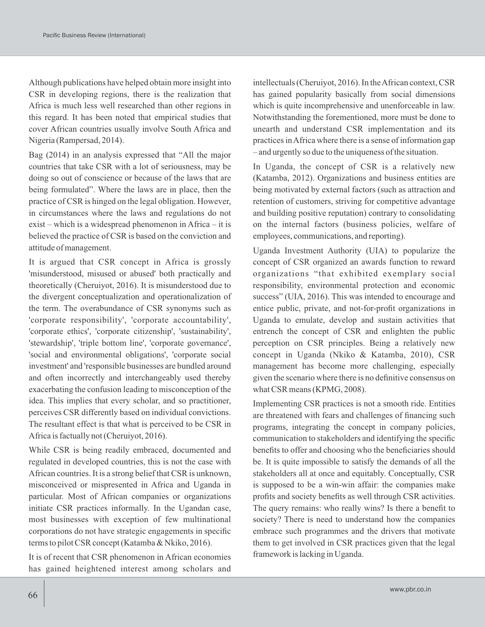Although publications have helped obtain more insight into CSR in developing regions, there is the realization that Africa is much less well researched than other regions in this regard. It has been noted that empirical studies that cover African countries usually involve South Africa and Nigeria (Rampersad, 2014).

Bag (2014) in an analysis expressed that "All the major countries that take CSR with a lot of seriousness, may be doing so out of conscience or because of the laws that are being formulated". Where the laws are in place, then the practice of CSR is hinged on the legal obligation. However, in circumstances where the laws and regulations do not exist – which is a widespread phenomenon in Africa – it is believed the practice of CSR is based on the conviction and attitude of management.

It is argued that CSR concept in Africa is grossly 'misunderstood, misused or abused' both practically and theoretically (Cheruiyot, 2016). It is misunderstood due to the divergent conceptualization and operationalization of the term. The overabundance of CSR synonyms such as 'corporate responsibility', 'corporate accountability', 'corporate ethics', 'corporate citizenship', 'sustainability', 'stewardship', 'triple bottom line', 'corporate governance', 'social and environmental obligations', 'corporate social investment' and 'responsible businesses are bundled around and often incorrectly and interchangeably used thereby exacerbating the confusion leading to misconception of the idea. This implies that every scholar, and so practitioner, perceives CSR differently based on individual convictions. The resultant effect is that what is perceived to be CSR in Africa is factually not (Cheruiyot, 2016).

While CSR is being readily embraced, documented and regulated in developed countries, this is not the case with African countries. It is a strong belief that CSR is unknown, misconceived or mispresented in Africa and Uganda in particular. Most of African companies or organizations initiate CSR practices informally. In the Ugandan case, most businesses with exception of few multinational corporations do not have strategic engagements in specific terms to pilot CSR concept (Katamba & Nkiko, 2016).

It is of recent that CSR phenomenon in African economies has gained heightened interest among scholars and intellectuals (Cheruiyot, 2016). In the African context, CSR has gained popularity basically from social dimensions which is quite incomprehensive and unenforceable in law. Notwithstanding the forementioned, more must be done to unearth and understand CSR implementation and its practices in Africa where there is a sense of information gap – and urgently so due to the uniqueness of the situation.

In Uganda, the concept of CSR is a relatively new (Katamba, 2012). Organizations and business entities are being motivated by external factors (such as attraction and retention of customers, striving for competitive advantage and building positive reputation) contrary to consolidating on the internal factors (business policies, welfare of employees, communications, and reporting).

Uganda Investment Authority (UIA) to popularize the concept of CSR organized an awards function to reward organizations "that exhibited exemplary social responsibility, environmental protection and economic success" (UIA, 2016). This was intended to encourage and entice public, private, and not-for-profit organizations in Uganda to emulate, develop and sustain activities that entrench the concept of CSR and enlighten the public perception on CSR principles. Being a relatively new concept in Uganda (Nkiko & Katamba, 2010), CSR management has become more challenging, especially given the scenario where there is no definitive consensus on what CSR means (KPMG, 2008).

Implementing CSR practices is not a smooth ride. Entities are threatened with fears and challenges of financing such programs, integrating the concept in company policies, communication to stakeholders and identifying the specific benefits to offer and choosing who the beneficiaries should be. It is quite impossible to satisfy the demands of all the stakeholders all at once and equitably. Conceptually, CSR is supposed to be a win-win affair: the companies make profits and society benefits as well through CSR activities. The query remains: who really wins? Is there a benefit to society? There is need to understand how the companies embrace such programmes and the drivers that motivate them to get involved in CSR practices given that the legal framework is lacking in Uganda.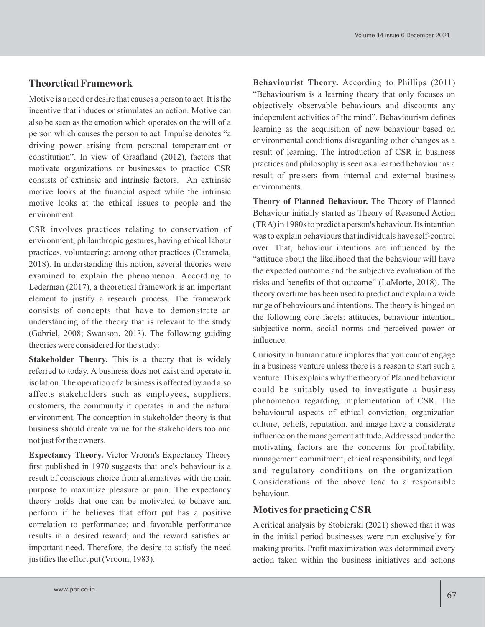# **Theoretical Framework**

Motive is a need or desire that causes a person to act. It is the incentive that induces or stimulates an action. Motive can also be seen as the emotion which operates on the will of a person which causes the person to act. Impulse denotes "a driving power arising from personal temperament or constitution". In view of Graafland (2012), factors that motivate organizations or businesses to practice CSR consists of extrinsic and intrinsic factors. An extrinsic motive looks at the financial aspect while the intrinsic motive looks at the ethical issues to people and the environment.

CSR involves practices relating to conservation of environment; philanthropic gestures, having ethical labour practices, volunteering; among other practices (Caramela, 2018). In understanding this notion, several theories were examined to explain the phenomenon. According to Lederman (2017), a theoretical framework is an important element to justify a research process. The framework consists of concepts that have to demonstrate an understanding of the theory that is relevant to the study (Gabriel, 2008; Swanson, 2013). The following guiding theories were considered for the study:

**Stakeholder Theory.** This is a theory that is widely referred to today. A business does not exist and operate in isolation. The operation of a business is affected by and also affects stakeholders such as employees, suppliers, customers, the community it operates in and the natural environment. The conception in stakeholder theory is that business should create value for the stakeholders too and not just for the owners.

**Expectancy Theory.** Victor Vroom's Expectancy Theory first published in 1970 suggests that one's behaviour is a result of conscious choice from alternatives with the main purpose to maximize pleasure or pain. The expectancy theory holds that one can be motivated to behave and perform if he believes that effort put has a positive correlation to performance; and favorable performance results in a desired reward; and the reward satisfies an important need. Therefore, the desire to satisfy the need justifies the effort put (Vroom, 1983).

**Behaviourist Theory.** According to Phillips (2011) "Behaviourism is a learning theory that only focuses on objectively observable behaviours and discounts any independent activities of the mind". Behaviourism defines learning as the acquisition of new behaviour based on environmental conditions disregarding other changes as a result of learning. The introduction of CSR in business practices and philosophy is seen as a learned behaviour as a result of pressers from internal and external business environments.

**Theory of Planned Behaviour.** The Theory of Planned Behaviour initially started as Theory of Reasoned Action (TRA) in 1980s to predict a person's behaviour. Its intention was to explain behaviours that individuals have self-control over. That, behaviour intentions are influenced by the "attitude about the likelihood that the behaviour will have the expected outcome and the subjective evaluation of the risks and benefits of that outcome" (LaMorte, 2018). The theory overtime has been used to predict and explain a wide range of behaviours and intentions. The theory is hinged on the following core facets: attitudes, behaviour intention, subjective norm, social norms and perceived power or influence.

Curiosity in human nature implores that you cannot engage in a business venture unless there is a reason to start such a venture. This explains why the theory of Planned behaviour could be suitably used to investigate a business phenomenon regarding implementation of CSR. The behavioural aspects of ethical conviction, organization culture, beliefs, reputation, and image have a considerate influence on the management attitude. Addressed under the motivating factors are the concerns for profitability, management commitment, ethical responsibility, and legal and regulatory conditions on the organization. Considerations of the above lead to a responsible behaviour.

## **Motives forpracticing CSR**

A critical analysis by Stobierski (2021) showed that it was in the initial period businesses were run exclusively for making profits. Profit maximization was determined every action taken within the business initiatives and actions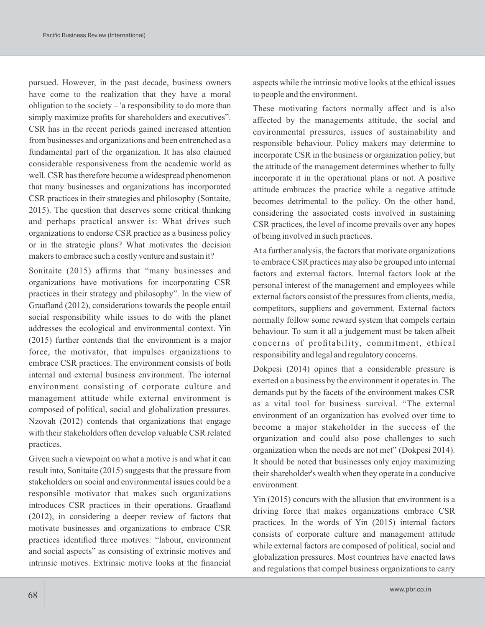pursued. However, in the past decade, business owners have come to the realization that they have a moral obligation to the society – 'a responsibility to do more than simply maximize profits for shareholders and executives". CSR has in the recent periods gained increased attention from businesses and organizations and been entrenched as a fundamental part of the organization. It has also claimed considerable responsiveness from the academic world as well. CSR has therefore become a widespread phenomenon that many businesses and organizations has incorporated CSR practices in their strategies and philosophy (Sontaite, 2015). The question that deserves some critical thinking and perhaps practical answer is: What drives such organizations to endorse CSR practice as a business policy or in the strategic plans? What motivates the decision makers to embrace such a costly venture and sustain it?

Sonitaite (2015) affirms that "many businesses and organizations have motivations for incorporating CSR practices in their strategy and philosophy". In the view of Graafland (2012), considerations towards the people entail social responsibility while issues to do with the planet addresses the ecological and environmental context. Yin (2015) further contends that the environment is a major force, the motivator, that impulses organizations to embrace CSR practices. The environment consists of both internal and external business environment. The internal environment consisting of corporate culture and management attitude while external environment is composed of political, social and globalization pressures. Nzovah (2012) contends that organizations that engage with their stakeholders often develop valuable CSR related practices.

Given such a viewpoint on what a motive is and what it can result into, Sonitaite (2015) suggests that the pressure from stakeholders on social and environmental issues could be a responsible motivator that makes such organizations introduces CSR practices in their operations. Graafland (2012), in considering a deeper review of factors that motivate businesses and organizations to embrace CSR practices identified three motives: "labour, environment and social aspects" as consisting of extrinsic motives and intrinsic motives. Extrinsic motive looks at the financial

aspects while the intrinsic motive looks at the ethical issues to people and the environment.

These motivating factors normally affect and is also affected by the managements attitude, the social and environmental pressures, issues of sustainability and responsible behaviour. Policy makers may determine to incorporate CSR in the business or organization policy, but the attitude of the management determines whether to fully incorporate it in the operational plans or not. A positive attitude embraces the practice while a negative attitude becomes detrimental to the policy. On the other hand, considering the associated costs involved in sustaining CSR practices, the level of income prevails over any hopes of being involved in such practices.

At a further analysis, the factors that motivate organizations to embrace CSR practices may also be grouped into internal factors and external factors. Internal factors look at the personal interest of the management and employees while external factors consist of the pressures from clients, media, competitors, suppliers and government. External factors normally follow some reward system that compels certain behaviour. To sum it all a judgement must be taken albeit concerns of profitability, commitment, ethical responsibility and legal and regulatory concerns.

Dokpesi (2014) opines that a considerable pressure is exerted on a business by the environment it operates in. The demands put by the facets of the environment makes CSR as a vital tool for business survival. "The external environment of an organization has evolved over time to become a major stakeholder in the success of the organization and could also pose challenges to such organization when the needs are not met" (Dokpesi 2014). It should be noted that businesses only enjoy maximizing their shareholder's wealth when they operate in a conducive environment.

Yin (2015) concurs with the allusion that environment is a driving force that makes organizations embrace CSR practices. In the words of Yin (2015) internal factors consists of corporate culture and management attitude while external factors are composed of political, social and globalization pressures. Most countries have enacted laws and regulations that compel business organizations to carry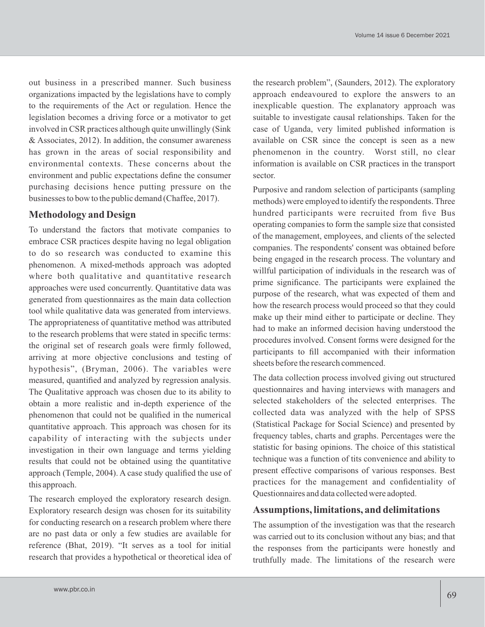out business in a prescribed manner. Such business organizations impacted by the legislations have to comply to the requirements of the Act or regulation. Hence the legislation becomes a driving force or a motivator to get involved in CSR practices although quite unwillingly (Sink & Associates, 2012). In addition, the consumer awareness has grown in the areas of social responsibility and environmental contexts. These concerns about the environment and public expectations define the consumer purchasing decisions hence putting pressure on the businesses to bow to the public demand (Chaffee, 2017).

## **Methodology and Design**

To understand the factors that motivate companies to embrace CSR practices despite having no legal obligation to do so research was conducted to examine this phenomenon. A mixed-methods approach was adopted where both qualitative and quantitative research approaches were used concurrently. Quantitative data was generated from questionnaires as the main data collection tool while qualitative data was generated from interviews. The appropriateness of quantitative method was attributed to the research problems that were stated in specific terms: the original set of research goals were firmly followed, arriving at more objective conclusions and testing of hypothesis", (Bryman, 2006). The variables were measured, quantified and analyzed by regression analysis. The Qualitative approach was chosen due to its ability to obtain a more realistic and in-depth experience of the phenomenon that could not be qualified in the numerical quantitative approach. This approach was chosen for its capability of interacting with the subjects under investigation in their own language and terms yielding results that could not be obtained using the quantitative approach (Temple, 2004). A case study qualified the use of this approach.

The research employed the exploratory research design. Exploratory research design was chosen for its suitability for conducting research on a research problem where there are no past data or only a few studies are available for reference (Bhat, 2019). "It serves as a tool for initial research that provides a hypothetical or theoretical idea of the research problem", (Saunders, 2012). The exploratory approach endeavoured to explore the answers to an inexplicable question. The explanatory approach was suitable to investigate causal relationships. Taken for the case of Uganda, very limited published information is available on CSR since the concept is seen as a new phenomenon in the country. Worst still, no clear information is available on CSR practices in the transport sector.

Purposive and random selection of participants (sampling methods) were employed to identify the respondents. Three hundred participants were recruited from five Bus operating companies to form the sample size that consisted of the management, employees, and clients of the selected companies. The respondents' consent was obtained before being engaged in the research process. The voluntary and willful participation of individuals in the research was of prime significance. The participants were explained the purpose of the research, what was expected of them and how the research process would proceed so that they could make up their mind either to participate or decline. They had to make an informed decision having understood the procedures involved. Consent forms were designed for the participants to fill accompanied with their information sheets before the research commenced.

The data collection process involved giving out structured questionnaires and having interviews with managers and selected stakeholders of the selected enterprises. The collected data was analyzed with the help of SPSS (Statistical Package for Social Science) and presented by frequency tables, charts and graphs. Percentages were the statistic for basing opinions. The choice of this statistical technique was a function of tits convenience and ability to present effective comparisons of various responses. Best practices for the management and confidentiality of Questionnaires and data collected were adopted.

### **Assumptions, limitations, and delimitations**

The assumption of the investigation was that the research was carried out to its conclusion without any bias; and that the responses from the participants were honestly and truthfully made. The limitations of the research were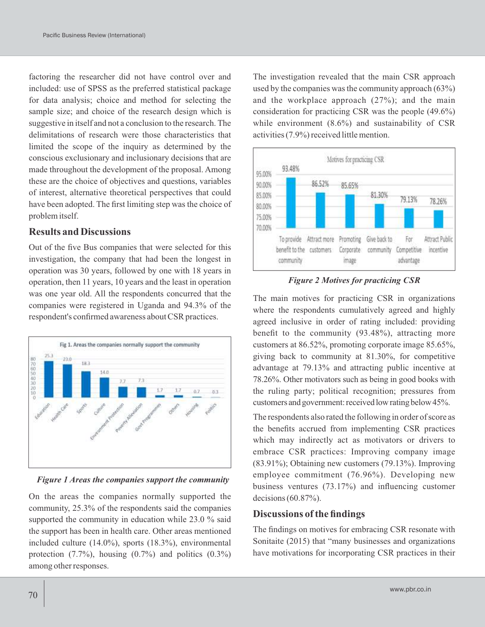factoring the researcher did not have control over and included: use of SPSS as the preferred statistical package for data analysis; choice and method for selecting the sample size; and choice of the research design which is suggestive in itself and not a conclusion to the research. The delimitations of research were those characteristics that limited the scope of the inquiry as determined by the conscious exclusionary and inclusionary decisions that are made throughout the development of the proposal. Among these are the choice of objectives and questions, variables of interest, alternative theoretical perspectives that could have been adopted. The first limiting step was the choice of problem itself.

#### **Results and Discussions**

Out of the five Bus companies that were selected for this investigation, the company that had been the longest in operation was 30 years, followed by one with 18 years in operation, then 11 years, 10 years and the least in operation was one year old. All the respondents concurred that the companies were registered in Uganda and 94.3% of the respondent's confirmed awareness about CSR practices.



*Figure 1 Areas the companies support the community*

On the areas the companies normally supported the community, 25.3% of the respondents said the companies supported the community in education while 23.0 % said the support has been in health care. Other areas mentioned included culture (14.0%), sports (18.3%), environmental protection  $(7.7\%)$ , housing  $(0.7\%)$  and politics  $(0.3\%)$ among other responses.

The investigation revealed that the main CSR approach used by the companies was the community approach (63%) and the workplace approach (27%); and the main consideration for practicing CSR was the people (49.6%) while environment  $(8.6\%)$  and sustainability of CSR activities (7.9%) received little mention.



*Figure 2 Motives for practicing CSR*

The main motives for practicing CSR in organizations where the respondents cumulatively agreed and highly agreed inclusive in order of rating included: providing benefit to the community (93.48%), attracting more customers at 86.52%, promoting corporate image 85.65%, giving back to community at 81.30%, for competitive advantage at 79.13% and attracting public incentive at 78.26%. Other motivators such as being in good books with the ruling party; political recognition; pressures from customers and government: received low rating below 45%.

The respondents also rated the following in order of score as the benefits accrued from implementing CSR practices which may indirectly act as motivators or drivers to embrace CSR practices: Improving company image (83.91%); Obtaining new customers (79.13%). Improving employee commitment (76.96%). Developing new business ventures (73.17%) and influencing customer decisions  $(60.87\%)$ .

### **Discussions of the findings**

The findings on motives for embracing CSR resonate with Sonitaite (2015) that "many businesses and organizations have motivations for incorporating CSR practices in their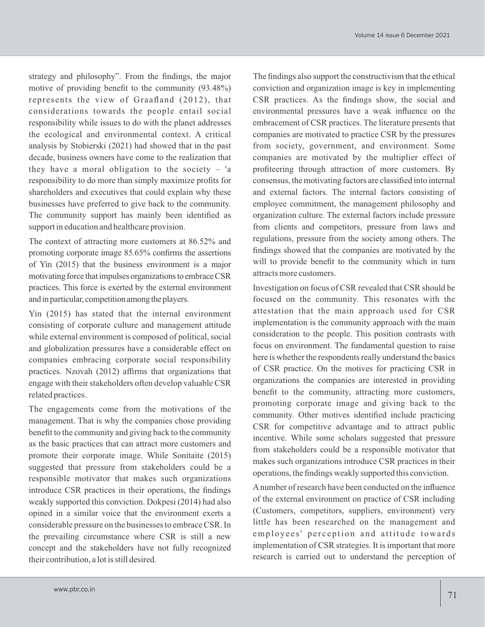strategy and philosophy". From the findings, the major motive of providing benefit to the community (93.48%) represents the view of Graafland (2012), that considerations towards the people entail social responsibility while issues to do with the planet addresses the ecological and environmental context. A critical analysis by Stobierski (2021) had showed that in the past decade, business owners have come to the realization that they have a moral obligation to the society  $-$  'a responsibility to do more than simply maximize profits for shareholders and executives that could explain why these businesses have preferred to give back to the community. The community support has mainly been identified as support in education and healthcare provision.

The context of attracting more customers at 86.52% and promoting corporate image 85.65% confirms the assertions of Yin (2015) that the business environment is a major motivating force that impulses organizations to embrace CSR practices. This force is exerted by the external environment and in particular, competition among the players.

Yin (2015) has stated that the internal environment consisting of corporate culture and management attitude while external environment is composed of political, social and globalization pressures have a considerable effect on companies embracing corporate social responsibility practices. Nzovah (2012) affirms that organizations that engage with their stakeholders often develop valuable CSR related practices.

The engagements come from the motivations of the management. That is why the companies chose providing benefit to the community and giving back to the community as the basic practices that can attract more customers and promote their corporate image. While Sonitaite (2015) suggested that pressure from stakeholders could be a responsible motivator that makes such organizations introduce CSR practices in their operations, the findings weakly supported this conviction. Dokpesi (2014) had also opined in a similar voice that the environment exerts a considerable pressure on the businesses to embrace CSR. In the prevailing circumstance where CSR is still a new concept and the stakeholders have not fully recognized their contribution, a lot is still desired.

The findings also support the constructivism that the ethical conviction and organization image is key in implementing CSR practices. As the findings show, the social and environmental pressures have a weak influence on the embracement of CSR practices. The literature presents that companies are motivated to practice CSR by the pressures from society, government, and environment. Some companies are motivated by the multiplier effect of profiteering through attraction of more customers. By consensus, the motivating factors are classified into internal and external factors. The internal factors consisting of employee commitment, the management philosophy and organization culture. The external factors include pressure from clients and competitors, pressure from laws and regulations, pressure from the society among others. The findings showed that the companies are motivated by the will to provide benefit to the community which in turn attracts more customers.

Investigation on focus of CSR revealed that CSR should be focused on the community. This resonates with the attestation that the main approach used for CSR implementation is the community approach with the main consideration to the people. This position contrasts with focus on environment. The fundamental question to raise here is whether the respondents really understand the basics of CSR practice. On the motives for practicing CSR in organizations the companies are interested in providing benefit to the community, attracting more customers, promoting corporate image and giving back to the community. Other motives identified include practicing CSR for competitive advantage and to attract public incentive. While some scholars suggested that pressure from stakeholders could be a responsible motivator that makes such organizations introduce CSR practices in their operations, the findings weakly supported this conviction.

Anumber of research have been conducted on the influence of the external environment on practice of CSR including (Customers, competitors, suppliers, environment) very little has been researched on the management and employees' perception and attitude towards implementation of CSR strategies. It is important that more research is carried out to understand the perception of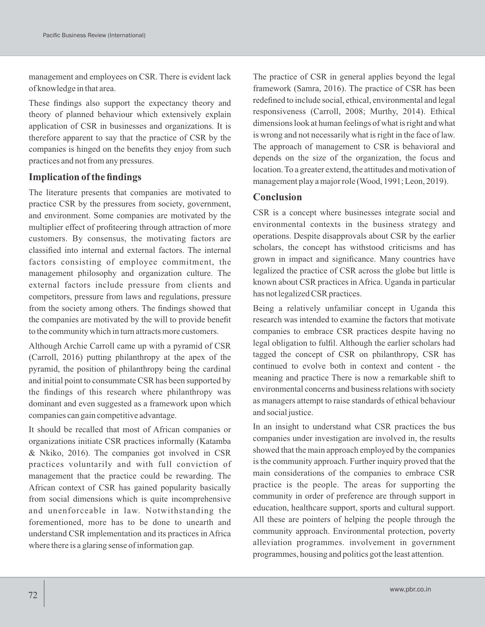management and employees on CSR. There is evident lack of knowledge in that area.

These findings also support the expectancy theory and theory of planned behaviour which extensively explain application of CSR in businesses and organizations. It is therefore apparent to say that the practice of CSR by the companies is hinged on the benefits they enjoy from such practices and not from any pressures.

# **Implication of the findings**

The literature presents that companies are motivated to practice CSR by the pressures from society, government, and environment. Some companies are motivated by the multiplier effect of profiteering through attraction of more customers. By consensus, the motivating factors are classified into internal and external factors. The internal factors consisting of employee commitment, the management philosophy and organization culture. The external factors include pressure from clients and competitors, pressure from laws and regulations, pressure from the society among others. The findings showed that the companies are motivated by the will to provide benefit to the community which in turn attracts more customers.

Although Archie Carroll came up with a pyramid of CSR (Carroll, 2016) putting philanthropy at the apex of the pyramid, the position of philanthropy being the cardinal and initial point to consummate CSR has been supported by the findings of this research where philanthropy was dominant and even suggested as a framework upon which companies can gain competitive advantage.

It should be recalled that most of African companies or organizations initiate CSR practices informally (Katamba & Nkiko, 2016). The companies got involved in CSR practices voluntarily and with full conviction of management that the practice could be rewarding. The African context of CSR has gained popularity basically from social dimensions which is quite incomprehensive and unenforceable in law. Notwithstanding the forementioned, more has to be done to unearth and understand CSR implementation and its practices in Africa where there is a glaring sense of information gap.

The practice of CSR in general applies beyond the legal framework (Samra, 2016). The practice of CSR has been redefined to include social, ethical, environmental and legal responsiveness (Carroll, 2008; Murthy, 2014). Ethical dimensions look at human feelings of what is right and what is wrong and not necessarily what is right in the face of law. The approach of management to CSR is behavioral and depends on the size of the organization, the focus and location. To a greater extend, the attitudes and motivation of management play a major role (Wood, 1991; Leon, 2019).

# **Conclusion**

CSR is a concept where businesses integrate social and environmental contexts in the business strategy and operations. Despite disapprovals about CSR by the earlier scholars, the concept has withstood criticisms and has grown in impact and significance. Many countries have legalized the practice of CSR across the globe but little is known about CSR practices in Africa. Uganda in particular has not legalized CSR practices.

Being a relatively unfamiliar concept in Uganda this research was intended to examine the factors that motivate companies to embrace CSR practices despite having no legal obligation to fulfil. Although the earlier scholars had tagged the concept of CSR on philanthropy, CSR has continued to evolve both in context and content - the meaning and practice There is now a remarkable shift to environmental concerns and business relations with society as managers attempt to raise standards of ethical behaviour and social justice.

In an insight to understand what CSR practices the bus companies under investigation are involved in, the results showed that the main approach employed by the companies is the community approach. Further inquiry proved that the main considerations of the companies to embrace CSR practice is the people. The areas for supporting the community in order of preference are through support in education, healthcare support, sports and cultural support. All these are pointers of helping the people through the community approach. Environmental protection, poverty alleviation programmes. involvement in government programmes, housing and politics got the least attention.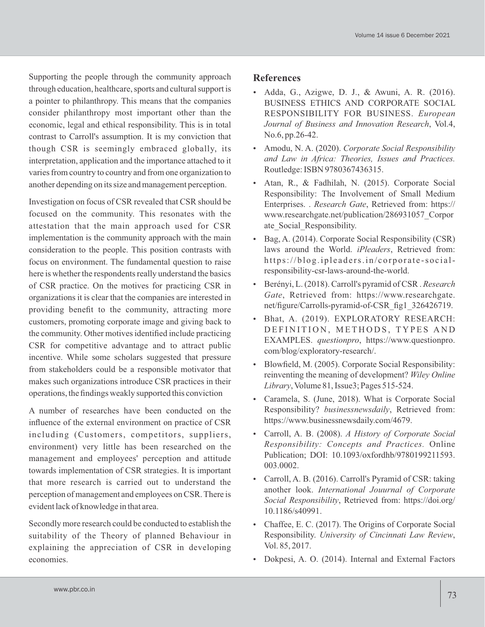Supporting the people through the community approach through education, healthcare, sports and cultural support is a pointer to philanthropy. This means that the companies consider philanthropy most important other than the economic, legal and ethical responsibility. This is in total contrast to Carroll's assumption. It is my conviction that though CSR is seemingly embraced globally, its interpretation, application and the importance attached to it varies from country to country and from one organization to another depending on its size and management perception.

Investigation on focus of CSR revealed that CSR should be focused on the community. This resonates with the attestation that the main approach used for CSR implementation is the community approach with the main consideration to the people. This position contrasts with focus on environment. The fundamental question to raise here is whether the respondents really understand the basics of CSR practice. On the motives for practicing CSR in organizations it is clear that the companies are interested in providing benefit to the community, attracting more customers, promoting corporate image and giving back to the community. Other motives identified include practicing CSR for competitive advantage and to attract public incentive. While some scholars suggested that pressure from stakeholders could be a responsible motivator that makes such organizations introduce CSR practices in their operations, the findings weakly supported this conviction

A number of researches have been conducted on the influence of the external environment on practice of CSR including (Customers, competitors, suppliers, environment) very little has been researched on the management and employees' perception and attitude towards implementation of CSR strategies. It is important that more research is carried out to understand the perception of management and employees on CSR. There is evident lack of knowledge in that area.

Secondly more research could be conducted to establish the suitability of the Theory of planned Behaviour in explaining the appreciation of CSR in developing economies.

## **References**

- Adda, G., Azigwe, D. J., & Awuni, A. R. (2016). BUSINESS ETHICS AND CORPORATE SOCIAL RESPONSIBILITY FOR BUSINESS. *European Journal of Business and Innovation Research*, Vol.4, No.6, pp.26-42.
- Amodu, N. A. (2020). *Corporate Social Responsibility and Law in Africa: Theories, Issues and Practices.* Routledge: ISBN 9780367436315.
- Atan, R., & Fadhilah, N. (2015). Corporate Social Responsibility: The Involvement of Small Medium Enterprises. . *Research Gate*, Retrieved from: https:// www.researchgate.net/publication/286931057\_Corpor ate\_Social\_Responsibility.
- Bag, A. (2014). Corporate Social Responsibility (CSR) laws around the World. *iPleaders*, Retrieved from: https://blog.ipleaders.in/corporate-socialresponsibility-csr-laws-around-the-world.
- Berényi, L. (2018). Carroll's pyramid of CSR . *Research Gate*, Retrieved from: https://www.researchgate. net/figure/Carrolls-pyramid-of-CSR\_fig1\_326426719.
- Bhat, A. (2019). EXPLORATORY RESEARCH: DEFINITION, METHODS, TYPES AND EXAMPLES. *questionpro*, https://www.questionpro. com/blog/exploratory-research/.
- Blowfield, M. (2005). Corporate Social Responsibility: reinventing the meaning of development? *Wiley Online Library*, Volume 81, Issue3; Pages 515-524.
- Caramela, S. (June, 2018). What is Corporate Social Responsibility? *businessnewsdaily*, Retrieved from: https://www.businessnewsdaily.com/4679.
- Carroll, A. B. (2008). *A History of Corporate Social Responsibility: Concepts and Practices.* Online Publication; DOI: 10.1093/oxfordhb/9780199211593. 003.0002.
- Carroll, A. B. (2016). Carroll's Pyramid of CSR: taking another look. *International Jouurnal of Corporate Social Responsibility*, Retrieved from: https://doi.org/ 10.1186/s40991.
- Chaffee, E. C. (2017). The Origins of Corporate Social Responsibility. *University of Cincinnati Law Review*, Vol. 85, 2017.
- Dokpesi, A. O. (2014). Internal and External Factors